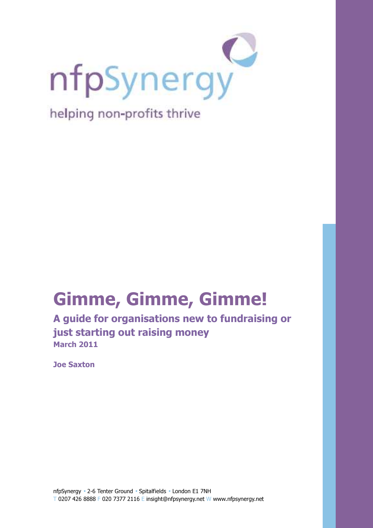

# Gimme, Gimme, Gimme!

A guide for organisations new to fundraising or just starting out raising money March 2011

Joe Saxton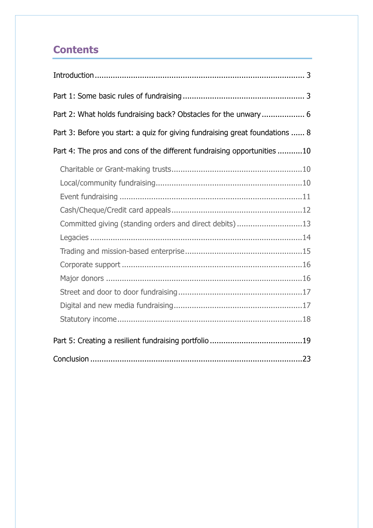# **Contents**

| Part 2: What holds fundraising back? Obstacles for the unwary 6              |
|------------------------------------------------------------------------------|
| Part 3: Before you start: a quiz for giving fundraising great foundations  8 |
| Part 4: The pros and cons of the different fundraising opportunities 10      |
|                                                                              |
|                                                                              |
|                                                                              |
|                                                                              |
| Committed giving (standing orders and direct debits)13                       |
|                                                                              |
|                                                                              |
|                                                                              |
|                                                                              |
|                                                                              |
|                                                                              |
|                                                                              |
|                                                                              |
|                                                                              |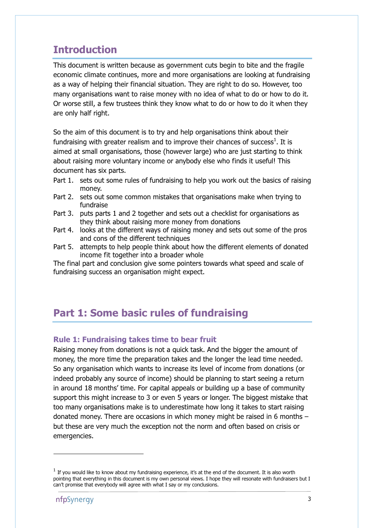# Introduction

This document is written because as government cuts begin to bite and the fragile economic climate continues, more and more organisations are looking at fundraising as a way of helping their financial situation. They are right to do so. However, too many organisations want to raise money with no idea of what to do or how to do it. Or worse still, a few trustees think they know what to do or how to do it when they are only half right.

So the aim of this document is to try and help organisations think about their fundraising with greater realism and to improve their chances of success<sup>1</sup>. It is aimed at small organisations, those (however large) who are just starting to think about raising more voluntary income or anybody else who finds it useful! This document has six parts.

- Part 1. sets out some rules of fundraising to help you work out the basics of raising money.
- Part 2. sets out some common mistakes that organisations make when trying to fundraise
- Part 3. puts parts 1 and 2 together and sets out a checklist for organisations as they think about raising more money from donations
- Part 4. looks at the different ways of raising money and sets out some of the pros and cons of the different techniques
- Part 5. attempts to help people think about how the different elements of donated income fit together into a broader whole

The final part and conclusion give some pointers towards what speed and scale of fundraising success an organisation might expect.

# Part 1: Some basic rules of fundraising

### Rule 1: Fundraising takes time to bear fruit

Raising money from donations is not a quick task. And the bigger the amount of money, the more time the preparation takes and the longer the lead time needed. So any organisation which wants to increase its level of income from donations (or indeed probably any source of income) should be planning to start seeing a return in around 18 months' time. For capital appeals or building up a base of community support this might increase to 3 or even 5 years or longer. The biggest mistake that too many organisations make is to underestimate how long it takes to start raising donated money. There are occasions in which money might be raised in 6 months – but these are very much the exception not the norm and often based on crisis or emergencies.

1

 $<sup>1</sup>$  If you would like to know about my fundraising experience, it's at the end of the document. It is also worth</sup> pointing that everything in this document is my own personal views. I hope they will resonate with fundraisers but I can't promise that everybody will agree with what I say or my conclusions.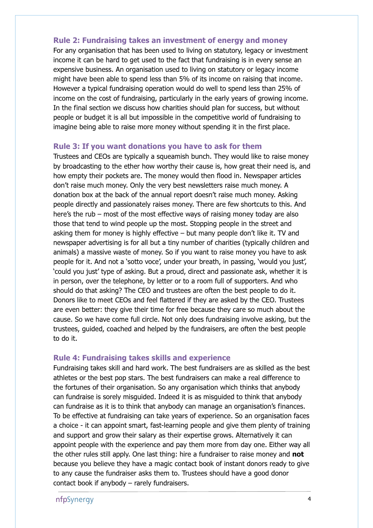#### Rule 2: Fundraising takes an investment of energy and money

For any organisation that has been used to living on statutory, legacy or investment income it can be hard to get used to the fact that fundraising is in every sense an expensive business. An organisation used to living on statutory or legacy income might have been able to spend less than 5% of its income on raising that income. However a typical fundraising operation would do well to spend less than 25% of income on the cost of fundraising, particularly in the early years of growing income. In the final section we discuss how charities should plan for success, but without people or budget it is all but impossible in the competitive world of fundraising to imagine being able to raise more money without spending it in the first place.

#### Rule 3: If you want donations you have to ask for them

Trustees and CEOs are typically a squeamish bunch. They would like to raise money by broadcasting to the ether how worthy their cause is, how great their need is, and how empty their pockets are. The money would then flood in. Newspaper articles don't raise much money. Only the very best newsletters raise much money. A donation box at the back of the annual report doesn't raise much money. Asking people directly and passionately raises money. There are few shortcuts to this. And here's the rub – most of the most effective ways of raising money today are also those that tend to wind people up the most. Stopping people in the street and asking them for money is highly effective – but many people don't like it. TV and newspaper advertising is for all but a tiny number of charities (typically children and animals) a massive waste of money. So if you want to raise money you have to ask people for it. And not a 'sotto voce', under your breath, in passing, 'would you just', 'could you just' type of asking. But a proud, direct and passionate ask, whether it is in person, over the telephone, by letter or to a room full of supporters. And who should do that asking? The CEO and trustees are often the best people to do it. Donors like to meet CEOs and feel flattered if they are asked by the CEO. Trustees are even better: they give their time for free because they care so much about the cause. So we have come full circle. Not only does fundraising involve asking, but the trustees, guided, coached and helped by the fundraisers, are often the best people to do it.

#### Rule 4: Fundraising takes skills and experience

Fundraising takes skill and hard work. The best fundraisers are as skilled as the best athletes or the best pop stars. The best fundraisers can make a real difference to the fortunes of their organisation. So any organisation which thinks that anybody can fundraise is sorely misguided. Indeed it is as misguided to think that anybody can fundraise as it is to think that anybody can manage an organisation's finances. To be effective at fundraising can take years of experience. So an organisation faces a choice - it can appoint smart, fast-learning people and give them plenty of training and support and grow their salary as their expertise grows. Alternatively it can appoint people with the experience and pay them more from day one. Either way all the other rules still apply. One last thing: hire a fundraiser to raise money and **not** because you believe they have a magic contact book of instant donors ready to give to any cause the fundraiser asks them to. Trustees should have a good donor contact book if anybody – rarely fundraisers.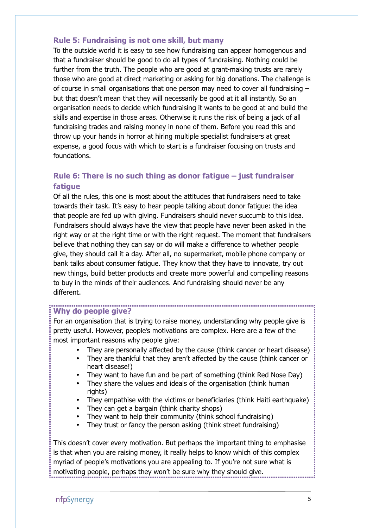### Rule 5: Fundraising is not one skill, but many

To the outside world it is easy to see how fundraising can appear homogenous and that a fundraiser should be good to do all types of fundraising. Nothing could be further from the truth. The people who are good at grant-making trusts are rarely those who are good at direct marketing or asking for big donations. The challenge is of course in small organisations that one person may need to cover all fundraising – but that doesn't mean that they will necessarily be good at it all instantly. So an organisation needs to decide which fundraising it wants to be good at and build the skills and expertise in those areas. Otherwise it runs the risk of being a jack of all fundraising trades and raising money in none of them. Before you read this and throw up your hands in horror at hiring multiple specialist fundraisers at great expense, a good focus with which to start is a fundraiser focusing on trusts and foundations.

### Rule 6: There is no such thing as donor fatigue – just fundraiser fatigue

Of all the rules, this one is most about the attitudes that fundraisers need to take towards their task. It's easy to hear people talking about donor fatigue: the idea that people are fed up with giving. Fundraisers should never succumb to this idea. Fundraisers should always have the view that people have never been asked in the right way or at the right time or with the right request. The moment that fundraisers believe that nothing they can say or do will make a difference to whether people give, they should call it a day. After all, no supermarket, mobile phone company or bank talks about consumer fatigue. They know that they have to innovate, try out new things, build better products and create more powerful and compelling reasons to buy in the minds of their audiences. And fundraising should never be any different.

#### Why do people give?

For an organisation that is trying to raise money, understanding why people give is pretty useful. However, people's motivations are complex. Here are a few of the most important reasons why people give:

• They are personally affected by the cause (think cancer or heart disease)

- They are thankful that they aren't affected by the cause (think cancer or heart disease!)
- They want to have fun and be part of something (think Red Nose Day)
- They share the values and ideals of the organisation (think human rights)
- They empathise with the victims or beneficiaries (think Haiti earthquake)
- They can get a bargain (think charity shops)
- They want to help their community (think school fundraising)
- They trust or fancy the person asking (think street fundraising)

This doesn't cover every motivation. But perhaps the important thing to emphasise is that when you are raising money, it really helps to know which of this complex myriad of people's motivations you are appealing to. If you're not sure what is motivating people, perhaps they won't be sure why they should give.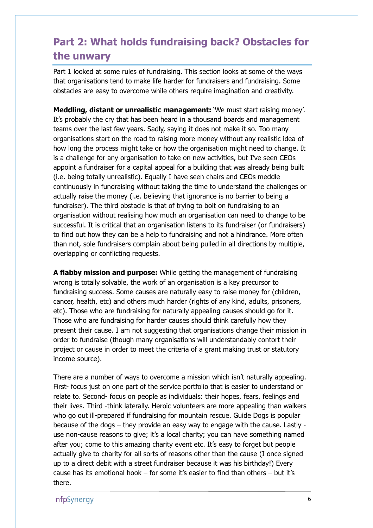# Part 2: What holds fundraising back? Obstacles for the unwary

Part 1 looked at some rules of fundraising. This section looks at some of the ways that organisations tend to make life harder for fundraisers and fundraising. Some obstacles are easy to overcome while others require imagination and creativity.

Meddling, distant or unrealistic management: 'We must start raising money'. It's probably the cry that has been heard in a thousand boards and management teams over the last few years. Sadly, saying it does not make it so. Too many organisations start on the road to raising more money without any realistic idea of how long the process might take or how the organisation might need to change. It is a challenge for any organisation to take on new activities, but I've seen CEOs appoint a fundraiser for a capital appeal for a building that was already being built (i.e. being totally unrealistic). Equally I have seen chairs and CEOs meddle continuously in fundraising without taking the time to understand the challenges or actually raise the money (i.e. believing that ignorance is no barrier to being a fundraiser). The third obstacle is that of trying to bolt on fundraising to an organisation without realising how much an organisation can need to change to be successful. It is critical that an organisation listens to its fundraiser (or fundraisers) to find out how they can be a help to fundraising and not a hindrance. More often than not, sole fundraisers complain about being pulled in all directions by multiple, overlapping or conflicting requests.

A flabby mission and purpose: While getting the management of fundraising wrong is totally solvable, the work of an organisation is a key precursor to fundraising success. Some causes are naturally easy to raise money for (children, cancer, health, etc) and others much harder (rights of any kind, adults, prisoners, etc). Those who are fundraising for naturally appealing causes should go for it. Those who are fundraising for harder causes should think carefully how they present their cause. I am not suggesting that organisations change their mission in order to fundraise (though many organisations will understandably contort their project or cause in order to meet the criteria of a grant making trust or statutory income source).

There are a number of ways to overcome a mission which isn't naturally appealing. First- focus just on one part of the service portfolio that is easier to understand or relate to. Second- focus on people as individuals: their hopes, fears, feelings and their lives. Third -think laterally. Heroic volunteers are more appealing than walkers who go out ill-prepared if fundraising for mountain rescue. Guide Dogs is popular because of the dogs – they provide an easy way to engage with the cause. Lastly use non-cause reasons to give; it's a local charity; you can have something named after you; come to this amazing charity event etc. It's easy to forget but people actually give to charity for all sorts of reasons other than the cause (I once signed up to a direct debit with a street fundraiser because it was his birthday!) Every cause has its emotional hook – for some it's easier to find than others – but it's there.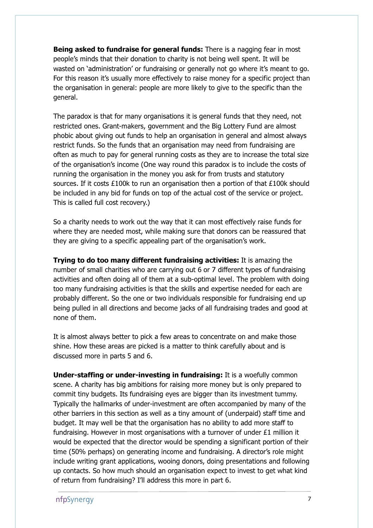**Being asked to fundraise for general funds:** There is a nagging fear in most people's minds that their donation to charity is not being well spent. It will be wasted on 'administration' or fundraising or generally not go where it's meant to go. For this reason it's usually more effectively to raise money for a specific project than the organisation in general: people are more likely to give to the specific than the general.

The paradox is that for many organisations it is general funds that they need, not restricted ones. Grant-makers, government and the Big Lottery Fund are almost phobic about giving out funds to help an organisation in general and almost always restrict funds. So the funds that an organisation may need from fundraising are often as much to pay for general running costs as they are to increase the total size of the organisation's income (One way round this paradox is to include the costs of running the organisation in the money you ask for from trusts and statutory sources. If it costs  $£100k$  to run an organisation then a portion of that  $£100k$  should be included in any bid for funds on top of the actual cost of the service or project. This is called full cost recovery.)

So a charity needs to work out the way that it can most effectively raise funds for where they are needed most, while making sure that donors can be reassured that they are giving to a specific appealing part of the organisation's work.

Trying to do too many different fundraising activities: It is amazing the number of small charities who are carrying out 6 or 7 different types of fundraising activities and often doing all of them at a sub-optimal level. The problem with doing too many fundraising activities is that the skills and expertise needed for each are probably different. So the one or two individuals responsible for fundraising end up being pulled in all directions and become jacks of all fundraising trades and good at none of them.

It is almost always better to pick a few areas to concentrate on and make those shine. How these areas are picked is a matter to think carefully about and is discussed more in parts 5 and 6.

Under-staffing or under-investing in fundraising: It is a woefully common scene. A charity has big ambitions for raising more money but is only prepared to commit tiny budgets. Its fundraising eyes are bigger than its investment tummy. Typically the hallmarks of under-investment are often accompanied by many of the other barriers in this section as well as a tiny amount of (underpaid) staff time and budget. It may well be that the organisation has no ability to add more staff to fundraising. However in most organisations with a turnover of under £1 million it would be expected that the director would be spending a significant portion of their time (50% perhaps) on generating income and fundraising. A director's role might include writing grant applications, wooing donors, doing presentations and following up contacts. So how much should an organisation expect to invest to get what kind of return from fundraising? I'll address this more in part 6.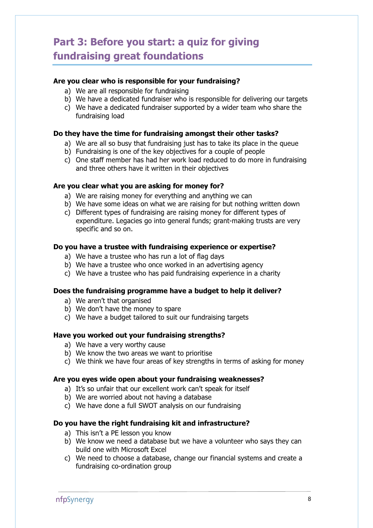# Part 3: Before you start: a quiz for giving fundraising great foundations

#### Are you clear who is responsible for your fundraising?

- a) We are all responsible for fundraising
- b) We have a dedicated fundraiser who is responsible for delivering our targets
- c) We have a dedicated fundraiser supported by a wider team who share the fundraising load

#### Do they have the time for fundraising amongst their other tasks?

- a) We are all so busy that fundraising just has to take its place in the queue
- b) Fundraising is one of the key objectives for a couple of people
- c) One staff member has had her work load reduced to do more in fundraising and three others have it written in their objectives

#### Are you clear what you are asking for money for?

- a) We are raising money for everything and anything we can
- b) We have some ideas on what we are raising for but nothing written down
- c) Different types of fundraising are raising money for different types of expenditure. Legacies go into general funds; grant-making trusts are very specific and so on.

#### Do you have a trustee with fundraising experience or expertise?

- a) We have a trustee who has run a lot of flag days
- b) We have a trustee who once worked in an advertising agency
- c) We have a trustee who has paid fundraising experience in a charity

#### Does the fundraising programme have a budget to help it deliver?

- a) We aren't that organised
- b) We don't have the money to spare
- c) We have a budget tailored to suit our fundraising targets

#### Have you worked out your fundraising strengths?

- a) We have a very worthy cause
- b) We know the two areas we want to prioritise
- c) We think we have four areas of key strengths in terms of asking for money

#### Are you eyes wide open about your fundraising weaknesses?

- a) It's so unfair that our excellent work can't speak for itself
- b) We are worried about not having a database
- c) We have done a full SWOT analysis on our fundraising

#### Do you have the right fundraising kit and infrastructure?

- a) This isn't a PE lesson you know
- b) We know we need a database but we have a volunteer who says they can build one with Microsoft Excel
- c) We need to choose a database, change our financial systems and create a fundraising co-ordination group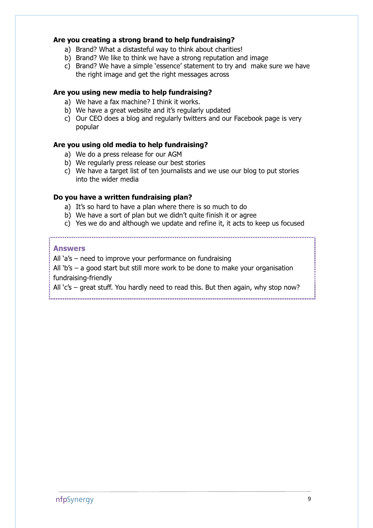#### Are you creating a strong brand to help fundraising?

- a) Brand? What a distasteful way to think about charities!
- b) Brand? We like to think we have a strong reputation and image
- c) Brand? We have a simple 'essence' statement to try and make sure we have the right image and get the right messages across

#### Are you using new media to help fundraising?

- a) We have a fax machine? I think it works.
- b) We have a great website and it's regularly updated
- c) Our CEO does a blog and regularly twitters and our Facebook page is very popular

#### Are you using old media to help fundraising?

- a) We do a press release for our AGM
- b) We regularly press release our best stories
- c) We have a target list of ten journalists and we use our blog to put stories into the wider media

#### Do you have a written fundraising plan?

- a) It's so hard to have a plan where there is so much to do
- b) We have a sort of plan but we didn't quite finish it or agree
- c) Yes we do and although we update and refine it, it acts to keep us focused

#### Answers

All 'a's – need to improve your performance on fundraising

All 'b's – a good start but still more work to be done to make your organisation fundraising-friendly

All 'c's – great stuff. You hardly need to read this. But then again, why stop now?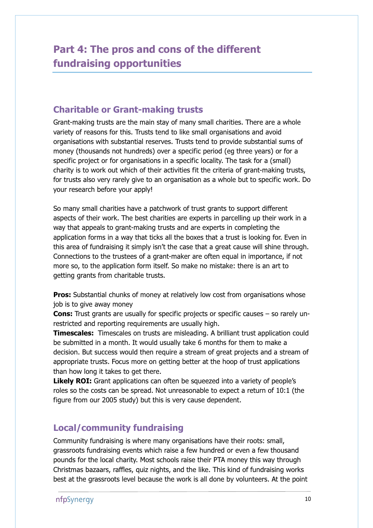# Part 4: The pros and cons of the different fundraising opportunities

### Charitable or Grant-making trusts

Grant-making trusts are the main stay of many small charities. There are a whole variety of reasons for this. Trusts tend to like small organisations and avoid organisations with substantial reserves. Trusts tend to provide substantial sums of money (thousands not hundreds) over a specific period (eg three years) or for a specific project or for organisations in a specific locality. The task for a (small) charity is to work out which of their activities fit the criteria of grant-making trusts, for trusts also very rarely give to an organisation as a whole but to specific work. Do your research before your apply!

So many small charities have a patchwork of trust grants to support different aspects of their work. The best charities are experts in parcelling up their work in a way that appeals to grant-making trusts and are experts in completing the application forms in a way that ticks all the boxes that a trust is looking for. Even in this area of fundraising it simply isn't the case that a great cause will shine through. Connections to the trustees of a grant-maker are often equal in importance, if not more so, to the application form itself. So make no mistake: there is an art to getting grants from charitable trusts.

**Pros:** Substantial chunks of money at relatively low cost from organisations whose job is to give away money

**Cons:** Trust grants are usually for specific projects or specific causes  $-$  so rarely unrestricted and reporting requirements are usually high.

Timescales: Timescales on trusts are misleading. A brilliant trust application could be submitted in a month. It would usually take 6 months for them to make a decision. But success would then require a stream of great projects and a stream of appropriate trusts. Focus more on getting better at the hoop of trust applications than how long it takes to get there.

**Likely ROI:** Grant applications can often be squeezed into a variety of people's roles so the costs can be spread. Not unreasonable to expect a return of 10:1 (the figure from our 2005 study) but this is very cause dependent.

### Local/community fundraising

Community fundraising is where many organisations have their roots: small, grassroots fundraising events which raise a few hundred or even a few thousand pounds for the local charity. Most schools raise their PTA money this way through Christmas bazaars, raffles, quiz nights, and the like. This kind of fundraising works best at the grassroots level because the work is all done by volunteers. At the point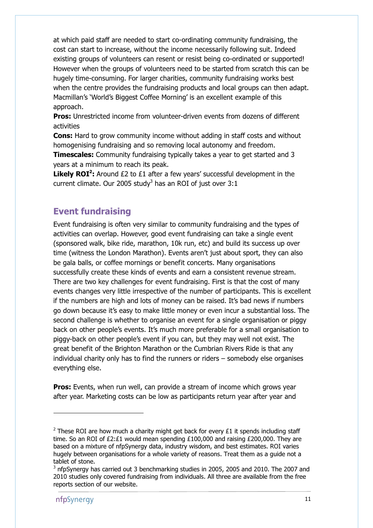at which paid staff are needed to start co-ordinating community fundraising, the cost can start to increase, without the income necessarily following suit. Indeed existing groups of volunteers can resent or resist being co-ordinated or supported! However when the groups of volunteers need to be started from scratch this can be hugely time-consuming. For larger charities, community fundraising works best when the centre provides the fundraising products and local groups can then adapt. Macmillan's 'World's Biggest Coffee Morning' is an excellent example of this approach.

Pros: Unrestricted income from volunteer-driven events from dozens of different activities

Cons: Hard to grow community income without adding in staff costs and without homogenising fundraising and so removing local autonomy and freedom.

**Timescales:** Community fundraising typically takes a year to get started and 3 years at a minimum to reach its peak.

**Likely ROI<sup>2</sup>:** Around £2 to £1 after a few years' successful development in the current climate. Our 2005 study $3$  has an ROI of just over  $3:1$ 

### Event fundraising

Event fundraising is often very similar to community fundraising and the types of activities can overlap. However, good event fundraising can take a single event (sponsored walk, bike ride, marathon, 10k run, etc) and build its success up over time (witness the London Marathon). Events aren't just about sport, they can also be gala balls, or coffee mornings or benefit concerts. Many organisations successfully create these kinds of events and earn a consistent revenue stream. There are two key challenges for event fundraising. First is that the cost of many events changes very little irrespective of the number of participants. This is excellent if the numbers are high and lots of money can be raised. It's bad news if numbers go down because it's easy to make little money or even incur a substantial loss. The second challenge is whether to organise an event for a single organisation or piggy back on other people's events. It's much more preferable for a small organisation to piggy-back on other people's event if you can, but they may well not exist. The great benefit of the Brighton Marathon or the Cumbrian Rivers Ride is that any individual charity only has to find the runners or riders – somebody else organises everything else.

**Pros:** Events, when run well, can provide a stream of income which grows year after year. Marketing costs can be low as participants return year after year and

l

<sup>&</sup>lt;sup>2</sup> These ROI are how much a charity might get back for every  $£1$  it spends including staff time. So an ROI of  $E2:E1$  would mean spending  $E100.000$  and raising  $E200.000$ . They are based on a mixture of nfpSynergy data, industry wisdom, and best estimates. ROI varies hugely between organisations for a whole variety of reasons. Treat them as a guide not a tablet of stone.

 $3$  nfpSynergy has carried out 3 benchmarking studies in 2005, 2005 and 2010. The 2007 and 2010 studies only covered fundraising from individuals. All three are available from the free reports section of our website.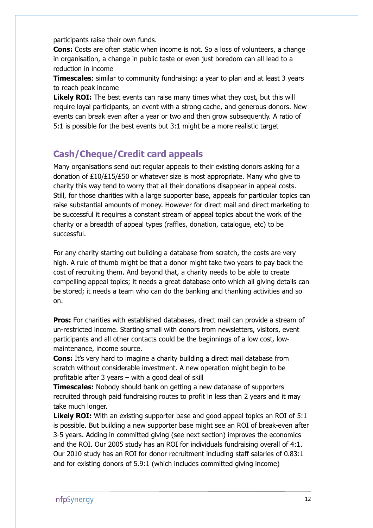participants raise their own funds.

**Cons:** Costs are often static when income is not. So a loss of volunteers, a change in organisation, a change in public taste or even just boredom can all lead to a reduction in income

**Timescales:** similar to community fundraising: a year to plan and at least 3 years to reach peak income

Likely ROI: The best events can raise many times what they cost, but this will require loyal participants, an event with a strong cache, and generous donors. New events can break even after a year or two and then grow subsequently. A ratio of 5:1 is possible for the best events but 3:1 might be a more realistic target

### Cash/Cheque/Credit card appeals

Many organisations send out regular appeals to their existing donors asking for a donation of £10/£15/£50 or whatever size is most appropriate. Many who give to charity this way tend to worry that all their donations disappear in appeal costs. Still, for those charities with a large supporter base, appeals for particular topics can raise substantial amounts of money. However for direct mail and direct marketing to be successful it requires a constant stream of appeal topics about the work of the charity or a breadth of appeal types (raffles, donation, catalogue, etc) to be successful.

For any charity starting out building a database from scratch, the costs are very high. A rule of thumb might be that a donor might take two years to pay back the cost of recruiting them. And beyond that, a charity needs to be able to create compelling appeal topics; it needs a great database onto which all giving details can be stored; it needs a team who can do the banking and thanking activities and so on.

Pros: For charities with established databases, direct mail can provide a stream of un-restricted income. Starting small with donors from newsletters, visitors, event participants and all other contacts could be the beginnings of a low cost, lowmaintenance, income source.

**Cons:** It's very hard to imagine a charity building a direct mail database from scratch without considerable investment. A new operation might begin to be profitable after 3 years – with a good deal of skill

**Timescales:** Nobody should bank on getting a new database of supporters recruited through paid fundraising routes to profit in less than 2 years and it may take much longer.

Likely ROI: With an existing supporter base and good appeal topics an ROI of 5:1 is possible. But building a new supporter base might see an ROI of break-even after 3-5 years. Adding in committed giving (see next section) improves the economics and the ROI. Our 2005 study has an ROI for individuals fundraising overall of 4:1. Our 2010 study has an ROI for donor recruitment including staff salaries of 0.83:1 and for existing donors of 5.9:1 (which includes committed giving income)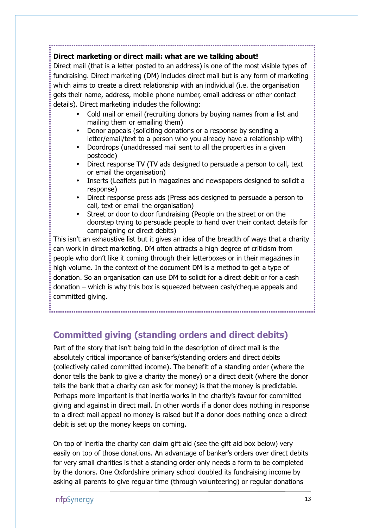### Direct marketing or direct mail: what are we talking about!

Direct mail (that is a letter posted to an address) is one of the most visible types of fundraising. Direct marketing (DM) includes direct mail but is any form of marketing which aims to create a direct relationship with an individual (i.e. the organisation gets their name, address, mobile phone number, email address or other contact details). Direct marketing includes the following:

• Cold mail or email (recruiting donors by buying names from a list and mailing them or emailing them)

- Donor appeals (soliciting donations or a response by sending a letter/email/text to a person who you already have a relationship with)
- Doordrops (unaddressed mail sent to all the properties in a given postcode)
- Direct response TV (TV ads designed to persuade a person to call, text or email the organisation)
- Inserts (Leaflets put in magazines and newspapers designed to solicit a response)
- Direct response press ads (Press ads designed to persuade a person to call, text or email the organisation)
- Street or door to door fundraising (People on the street or on the doorstep trying to persuade people to hand over their contact details for campaigning or direct debits)

This isn't an exhaustive list but it gives an idea of the breadth of ways that a charity can work in direct marketing. DM often attracts a high degree of criticism from people who don't like it coming through their letterboxes or in their magazines in high volume. In the context of the document DM is a method to get a type of donation. So an organisation can use DM to solicit for a direct debit or for a cash donation – which is why this box is squeezed between cash/cheque appeals and committed giving.

## Committed giving (standing orders and direct debits)

Part of the story that isn't being told in the description of direct mail is the absolutely critical importance of banker's/standing orders and direct debits (collectively called committed income). The benefit of a standing order (where the donor tells the bank to give a charity the money) or a direct debit (where the donor tells the bank that a charity can ask for money) is that the money is predictable. Perhaps more important is that inertia works in the charity's favour for committed giving and against in direct mail. In other words if a donor does nothing in response to a direct mail appeal no money is raised but if a donor does nothing once a direct debit is set up the money keeps on coming.

On top of inertia the charity can claim gift aid (see the gift aid box below) very easily on top of those donations. An advantage of banker's orders over direct debits for very small charities is that a standing order only needs a form to be completed by the donors. One Oxfordshire primary school doubled its fundraising income by asking all parents to give regular time (through volunteering) or regular donations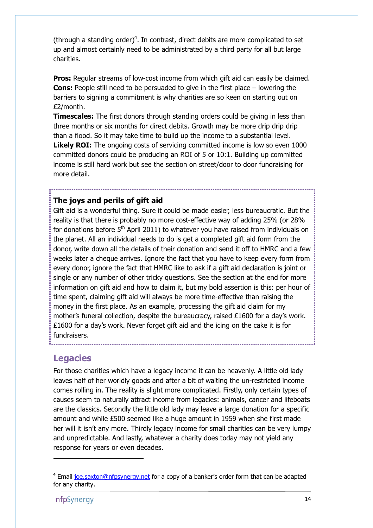(through a standing order) $4$ . In contrast, direct debits are more complicated to set up and almost certainly need to be administrated by a third party for all but large charities.

**Pros:** Regular streams of low-cost income from which gift aid can easily be claimed. Cons: People still need to be persuaded to give in the first place – lowering the barriers to signing a commitment is why charities are so keen on starting out on £2/month.

**Timescales:** The first donors through standing orders could be giving in less than three months or six months for direct debits. Growth may be more drip drip drip than a flood. So it may take time to build up the income to a substantial level. Likely ROI: The ongoing costs of servicing committed income is low so even 1000 committed donors could be producing an ROI of 5 or 10:1. Building up committed income is still hard work but see the section on street/door to door fundraising for more detail.

### The joys and perils of gift aid

Gift aid is a wonderful thing. Sure it could be made easier, less bureaucratic. But the reality is that there is probably no more cost-effective way of adding 25% (or 28% for donations before  $5<sup>th</sup>$  April 2011) to whatever you have raised from individuals on the planet. All an individual needs to do is get a completed gift aid form from the donor, write down all the details of their donation and send it off to HMRC and a few weeks later a cheque arrives. Ignore the fact that you have to keep every form from every donor, ignore the fact that HMRC like to ask if a gift aid declaration is joint or single or any number of other tricky questions. See the section at the end for more information on gift aid and how to claim it, but my bold assertion is this: per hour of time spent, claiming gift aid will always be more time-effective than raising the money in the first place. As an example, processing the gift aid claim for my mother's funeral collection, despite the bureaucracy, raised £1600 for a day's work. £1600 for a day's work. Never forget gift aid and the icing on the cake it is for fundraisers.

### **Legacies**

For those charities which have a legacy income it can be heavenly. A little old lady leaves half of her worldly goods and after a bit of waiting the un-restricted income comes rolling in. The reality is slight more complicated. Firstly, only certain types of causes seem to naturally attract income from legacies: animals, cancer and lifeboats are the classics. Secondly the little old lady may leave a large donation for a specific amount and while £500 seemed like a huge amount in 1959 when she first made her will it isn't any more. Thirdly legacy income for small charities can be very lumpy and unpredictable. And lastly, whatever a charity does today may not yield any response for years or even decades.

l

<sup>&</sup>lt;sup>4</sup> Email joe.saxton@nfpsynergy.net for a copy of a banker's order form that can be adapted for any charity.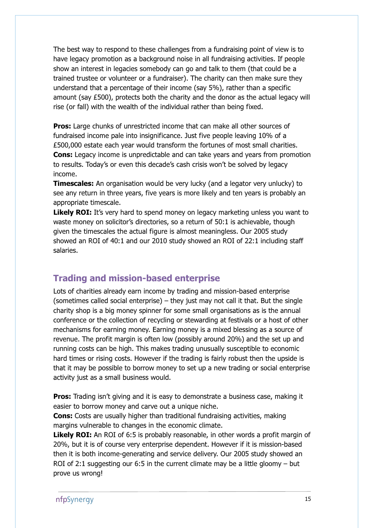The best way to respond to these challenges from a fundraising point of view is to have legacy promotion as a background noise in all fundraising activities. If people show an interest in legacies somebody can go and talk to them (that could be a trained trustee or volunteer or a fundraiser). The charity can then make sure they understand that a percentage of their income (say 5%), rather than a specific amount (say £500), protects both the charity and the donor as the actual legacy will rise (or fall) with the wealth of the individual rather than being fixed.

**Pros:** Large chunks of unrestricted income that can make all other sources of fundraised income pale into insignificance. Just five people leaving 10% of a £500,000 estate each year would transform the fortunes of most small charities. **Cons:** Legacy income is unpredictable and can take years and years from promotion to results. Today's or even this decade's cash crisis won't be solved by legacy income.

**Timescales:** An organisation would be very lucky (and a legator very unlucky) to see any return in three years, five years is more likely and ten years is probably an appropriate timescale.

**Likely ROI:** It's very hard to spend money on legacy marketing unless you want to waste money on solicitor's directories, so a return of 50:1 is achievable, though given the timescales the actual figure is almost meaningless. Our 2005 study showed an ROI of 40:1 and our 2010 study showed an ROI of 22:1 including staff salaries.

### Trading and mission-based enterprise

Lots of charities already earn income by trading and mission-based enterprise (sometimes called social enterprise) – they just may not call it that. But the single charity shop is a big money spinner for some small organisations as is the annual conference or the collection of recycling or stewarding at festivals or a host of other mechanisms for earning money. Earning money is a mixed blessing as a source of revenue. The profit margin is often low (possibly around 20%) and the set up and running costs can be high. This makes trading unusually susceptible to economic hard times or rising costs. However if the trading is fairly robust then the upside is that it may be possible to borrow money to set up a new trading or social enterprise activity just as a small business would.

**Pros:** Trading isn't giving and it is easy to demonstrate a business case, making it easier to borrow money and carve out a unique niche.

**Cons:** Costs are usually higher than traditional fundraising activities, making margins vulnerable to changes in the economic climate.

Likely ROI: An ROI of 6:5 is probably reasonable, in other words a profit margin of 20%, but it is of course very enterprise dependent. However if it is mission-based then it is both income-generating and service delivery. Our 2005 study showed an ROI of 2:1 suggesting our 6:5 in the current climate may be a little gloomy  $-$  but prove us wrong!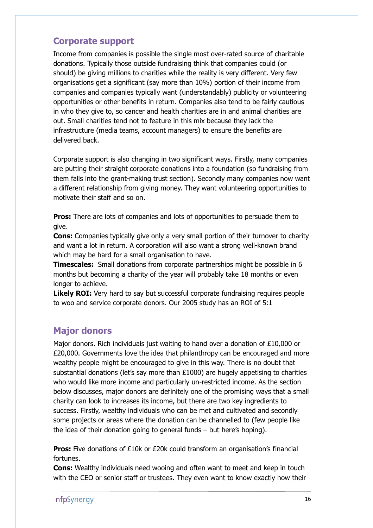### Corporate support

Income from companies is possible the single most over-rated source of charitable donations. Typically those outside fundraising think that companies could (or should) be giving millions to charities while the reality is very different. Very few organisations get a significant (say more than 10%) portion of their income from companies and companies typically want (understandably) publicity or volunteering opportunities or other benefits in return. Companies also tend to be fairly cautious in who they give to, so cancer and health charities are in and animal charities are out. Small charities tend not to feature in this mix because they lack the infrastructure (media teams, account managers) to ensure the benefits are delivered back.

Corporate support is also changing in two significant ways. Firstly, many companies are putting their straight corporate donations into a foundation (so fundraising from them falls into the grant-making trust section). Secondly many companies now want a different relationship from giving money. They want volunteering opportunities to motivate their staff and so on.

**Pros:** There are lots of companies and lots of opportunities to persuade them to give.

**Cons:** Companies typically give only a very small portion of their turnover to charity and want a lot in return. A corporation will also want a strong well-known brand which may be hard for a small organisation to have.

**Timescales:** Small donations from corporate partnerships might be possible in 6 months but becoming a charity of the year will probably take 18 months or even longer to achieve.

**Likely ROI:** Very hard to say but successful corporate fundraising requires people to woo and service corporate donors. Our 2005 study has an ROI of 5:1

### Major donors

Major donors. Rich individuals just waiting to hand over a donation of £10,000 or £20,000. Governments love the idea that philanthropy can be encouraged and more wealthy people might be encouraged to give in this way. There is no doubt that substantial donations (let's say more than  $£1000$ ) are hugely appetising to charities who would like more income and particularly un-restricted income. As the section below discusses, major donors are definitely one of the promising ways that a small charity can look to increases its income, but there are two key ingredients to success. Firstly, wealthy individuals who can be met and cultivated and secondly some projects or areas where the donation can be channelled to (few people like the idea of their donation going to general funds – but here's hoping).

**Pros:** Five donations of £10k or £20k could transform an organisation's financial fortunes.

Cons: Wealthy individuals need wooing and often want to meet and keep in touch with the CEO or senior staff or trustees. They even want to know exactly how their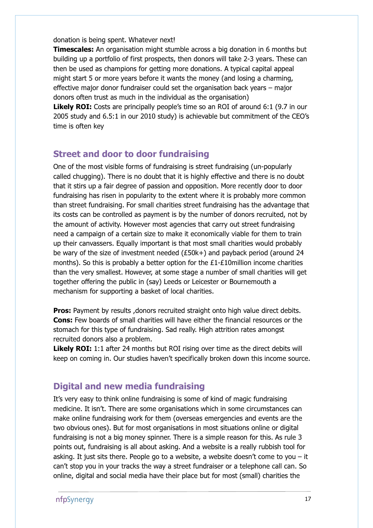donation is being spent. Whatever next!

**Timescales:** An organisation might stumble across a big donation in 6 months but building up a portfolio of first prospects, then donors will take 2-3 years. These can then be used as champions for getting more donations. A typical capital appeal might start 5 or more years before it wants the money (and losing a charming, effective major donor fundraiser could set the organisation back years – major donors often trust as much in the individual as the organisation)

**Likely ROI:** Costs are principally people's time so an ROI of around 6:1 (9.7 in our 2005 study and 6.5:1 in our 2010 study) is achievable but commitment of the CEO's time is often key

### Street and door to door fundraising

One of the most visible forms of fundraising is street fundraising (un-popularly called chugging). There is no doubt that it is highly effective and there is no doubt that it stirs up a fair degree of passion and opposition. More recently door to door fundraising has risen in popularity to the extent where it is probably more common than street fundraising. For small charities street fundraising has the advantage that its costs can be controlled as payment is by the number of donors recruited, not by the amount of activity. However most agencies that carry out street fundraising need a campaign of a certain size to make it economically viable for them to train up their canvassers. Equally important is that most small charities would probably be wary of the size of investment needed (£50k+) and payback period (around 24 months). So this is probably a better option for the  $£1-E10$ million income charities than the very smallest. However, at some stage a number of small charities will get together offering the public in (say) Leeds or Leicester or Bournemouth a mechanism for supporting a basket of local charities.

**Pros:** Payment by results , donors recruited straight onto high value direct debits. Cons: Few boards of small charities will have either the financial resources or the stomach for this type of fundraising. Sad really. High attrition rates amongst recruited donors also a problem.

**Likely ROI:** 1:1 after 24 months but ROI rising over time as the direct debits will keep on coming in. Our studies haven't specifically broken down this income source.

### Digital and new media fundraising

It's very easy to think online fundraising is some of kind of magic fundraising medicine. It isn't. There are some organisations which in some circumstances can make online fundraising work for them (overseas emergencies and events are the two obvious ones). But for most organisations in most situations online or digital fundraising is not a big money spinner. There is a simple reason for this. As rule 3 points out, fundraising is all about asking. And a website is a really rubbish tool for asking. It just sits there. People go to a website, a website doesn't come to you  $-$  it can't stop you in your tracks the way a street fundraiser or a telephone call can. So online, digital and social media have their place but for most (small) charities the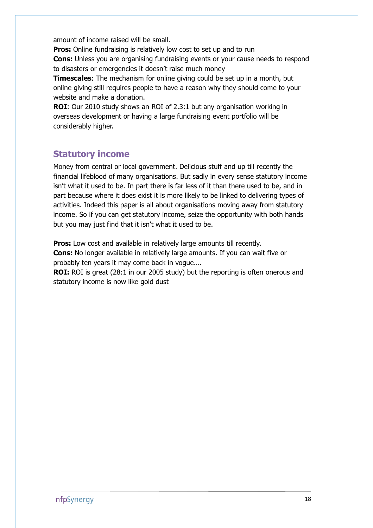amount of income raised will be small.

**Pros:** Online fundraising is relatively low cost to set up and to run Cons: Unless you are organising fundraising events or your cause needs to respond to disasters or emergencies it doesn't raise much money

**Timescales:** The mechanism for online giving could be set up in a month, but online giving still requires people to have a reason why they should come to your website and make a donation.

ROI: Our 2010 study shows an ROI of 2.3:1 but any organisation working in overseas development or having a large fundraising event portfolio will be considerably higher.

### Statutory income

Money from central or local government. Delicious stuff and up till recently the financial lifeblood of many organisations. But sadly in every sense statutory income isn't what it used to be. In part there is far less of it than there used to be, and in part because where it does exist it is more likely to be linked to delivering types of activities. Indeed this paper is all about organisations moving away from statutory income. So if you can get statutory income, seize the opportunity with both hands but you may just find that it isn't what it used to be.

Pros: Low cost and available in relatively large amounts till recently. Cons: No longer available in relatively large amounts. If you can wait five or probably ten years it may come back in vogue…. **ROI:** ROI is great (28:1 in our 2005 study) but the reporting is often onerous and

statutory income is now like gold dust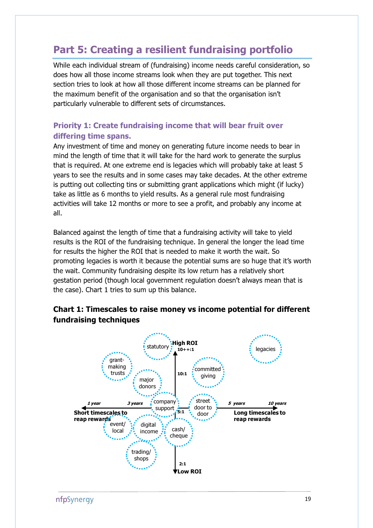# Part 5: Creating a resilient fundraising portfolio

While each individual stream of (fundraising) income needs careful consideration, so does how all those income streams look when they are put together. This next section tries to look at how all those different income streams can be planned for the maximum benefit of the organisation and so that the organisation isn't particularly vulnerable to different sets of circumstances.

### Priority 1: Create fundraising income that will bear fruit over differing time spans.

Any investment of time and money on generating future income needs to bear in mind the length of time that it will take for the hard work to generate the surplus that is required. At one extreme end is legacies which will probably take at least 5 years to see the results and in some cases may take decades. At the other extreme is putting out collecting tins or submitting grant applications which might (if lucky) take as little as 6 months to yield results. As a general rule most fundraising activities will take 12 months or more to see a profit, and probably any income at all.

Balanced against the length of time that a fundraising activity will take to yield results is the ROI of the fundraising technique. In general the longer the lead time for results the higher the ROI that is needed to make it worth the wait. So promoting legacies is worth it because the potential sums are so huge that it's worth the wait. Community fundraising despite its low return has a relatively short gestation period (though local government regulation doesn't always mean that is the case). Chart 1 tries to sum up this balance.



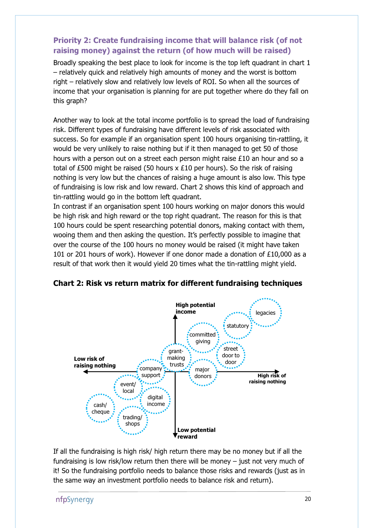### Priority 2: Create fundraising income that will balance risk (of not raising money) against the return (of how much will be raised)

Broadly speaking the best place to look for income is the top left quadrant in chart 1 – relatively quick and relatively high amounts of money and the worst is bottom right – relatively slow and relatively low levels of ROI. So when all the sources of income that your organisation is planning for are put together where do they fall on this graph?

Another way to look at the total income portfolio is to spread the load of fundraising risk. Different types of fundraising have different levels of risk associated with success. So for example if an organisation spent 100 hours organising tin-rattling, it would be very unlikely to raise nothing but if it then managed to get 50 of those hours with a person out on a street each person might raise £10 an hour and so a total of £500 might be raised (50 hours x £10 per hours). So the risk of raising nothing is very low but the chances of raising a huge amount is also low. This type of fundraising is low risk and low reward. Chart 2 shows this kind of approach and tin-rattling would go in the bottom left quadrant.

In contrast if an organisation spent 100 hours working on major donors this would be high risk and high reward or the top right quadrant. The reason for this is that 100 hours could be spent researching potential donors, making contact with them, wooing them and then asking the question. It's perfectly possible to imagine that over the course of the 100 hours no money would be raised (it might have taken 101 or 201 hours of work). However if one donor made a donation of £10,000 as a result of that work then it would yield 20 times what the tin-rattling might yield.



Chart 2: Risk vs return matrix for different fundraising techniques

If all the fundraising is high risk/ high return there may be no money but if all the fundraising is low risk/low return then there will be money – just not very much of it! So the fundraising portfolio needs to balance those risks and rewards (just as in the same way an investment portfolio needs to balance risk and return).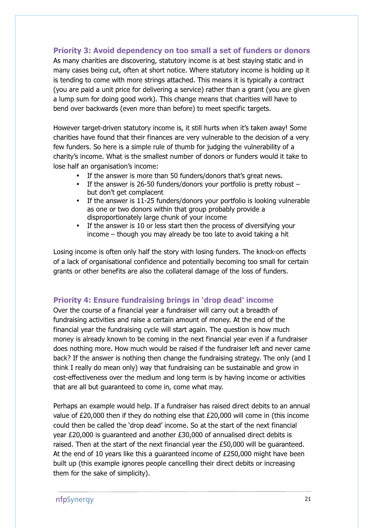### Priority 3: Avoid dependency on too small a set of funders or donors

As many charities are discovering, statutory income is at best staying static and in many cases being cut, often at short notice. Where statutory income is holding up it is tending to come with more strings attached. This means it is typically a contract (you are paid a unit price for delivering a service) rather than a grant (you are given a lump sum for doing good work). This change means that charities will have to bend over backwards (even more than before) to meet specific targets.

However target-driven statutory income is, it still hurts when it's taken away! Some charities have found that their finances are very vulnerable to the decision of a very few funders. So here is a simple rule of thumb for judging the vulnerability of a charity's income. What is the smallest number of donors or funders would it take to lose half an organisation's income:

- If the answer is more than 50 funders/donors that's great news.
- If the answer is 26-50 funders/donors your portfolio is pretty robust but don't get complacent
- If the answer is 11-25 funders/donors your portfolio is looking vulnerable as one or two donors within that group probably provide a disproportionately large chunk of your income
- If the answer is 10 or less start then the process of diversifying your income – though you may already be too late to avoid taking a hit

Losing income is often only half the story with losing funders. The knock-on effects of a lack of organisational confidence and potentially becoming too small for certain grants or other benefits are also the collateral damage of the loss of funders.

### Priority 4: Ensure fundraising brings in 'drop dead' income

Over the course of a financial year a fundraiser will carry out a breadth of fundraising activities and raise a certain amount of money. At the end of the financial year the fundraising cycle will start again. The question is how much money is already known to be coming in the next financial year even if a fundraiser does nothing more. How much would be raised if the fundraiser left and never came back? If the answer is nothing then change the fundraising strategy. The only (and I think I really do mean only) way that fundraising can be sustainable and grow in cost-effectiveness over the medium and long term is by having income or activities that are all but guaranteed to come in, come what may.

Perhaps an example would help. If a fundraiser has raised direct debits to an annual value of £20,000 then if they do nothing else that £20,000 will come in (this income could then be called the 'drop dead' income. So at the start of the next financial year £20,000 is guaranteed and another £30,000 of annualised direct debits is raised. Then at the start of the next financial year the £50,000 will be guaranteed. At the end of 10 years like this a guaranteed income of £250,000 might have been built up (this example ignores people cancelling their direct debits or increasing them for the sake of simplicity).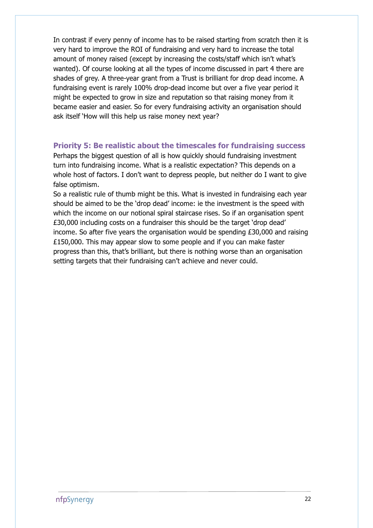In contrast if every penny of income has to be raised starting from scratch then it is very hard to improve the ROI of fundraising and very hard to increase the total amount of money raised (except by increasing the costs/staff which isn't what's wanted). Of course looking at all the types of income discussed in part 4 there are shades of grey. A three-year grant from a Trust is brilliant for drop dead income. A fundraising event is rarely 100% drop-dead income but over a five year period it might be expected to grow in size and reputation so that raising money from it became easier and easier. So for every fundraising activity an organisation should ask itself 'How will this help us raise money next year?

### Priority 5: Be realistic about the timescales for fundraising success

Perhaps the biggest question of all is how quickly should fundraising investment turn into fundraising income. What is a realistic expectation? This depends on a whole host of factors. I don't want to depress people, but neither do I want to give false optimism.

So a realistic rule of thumb might be this. What is invested in fundraising each year should be aimed to be the 'drop dead' income: ie the investment is the speed with which the income on our notional spiral staircase rises. So if an organisation spent £30,000 including costs on a fundraiser this should be the target 'drop dead' income. So after five years the organisation would be spending £30,000 and raising £150,000. This may appear slow to some people and if you can make faster progress than this, that's brilliant, but there is nothing worse than an organisation setting targets that their fundraising can't achieve and never could.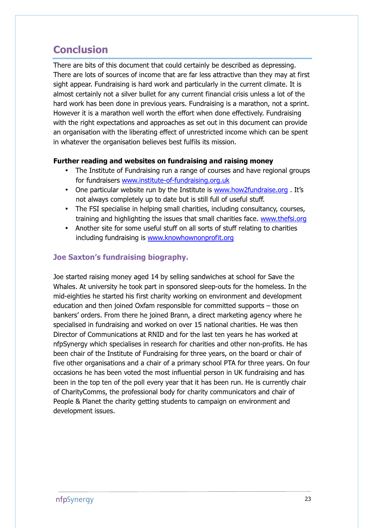# **Conclusion**

There are bits of this document that could certainly be described as depressing. There are lots of sources of income that are far less attractive than they may at first sight appear. Fundraising is hard work and particularly in the current climate. It is almost certainly not a silver bullet for any current financial crisis unless a lot of the hard work has been done in previous years. Fundraising is a marathon, not a sprint. However it is a marathon well worth the effort when done effectively. Fundraising with the right expectations and approaches as set out in this document can provide an organisation with the liberating effect of unrestricted income which can be spent in whatever the organisation believes best fulfils its mission.

### Further reading and websites on fundraising and raising money

- The Institute of Fundraising run a range of courses and have regional groups for fundraisers www.institute-of-fundraising.org.uk
- One particular website run by the Institute is www.how2fundraise.org . It's not always completely up to date but is still full of useful stuff.
- The FSI specialise in helping small charities, including consultancy, courses, training and highlighting the issues that small charities face. www.thefsi.org
- Another site for some useful stuff on all sorts of stuff relating to charities including fundraising is www.knowhownonprofit.org

### Joe Saxton's fundraising biography.

Joe started raising money aged 14 by selling sandwiches at school for Save the Whales. At university he took part in sponsored sleep-outs for the homeless. In the mid-eighties he started his first charity working on environment and development education and then joined Oxfam responsible for committed supports – those on bankers' orders. From there he joined Brann, a direct marketing agency where he specialised in fundraising and worked on over 15 national charities. He was then Director of Communications at RNID and for the last ten years he has worked at nfpSynergy which specialises in research for charities and other non-profits. He has been chair of the Institute of Fundraising for three years, on the board or chair of five other organisations and a chair of a primary school PTA for three years. On four occasions he has been voted the most influential person in UK fundraising and has been in the top ten of the poll every year that it has been run. He is currently chair of CharityComms, the professional body for charity communicators and chair of People & Planet the charity getting students to campaign on environment and development issues.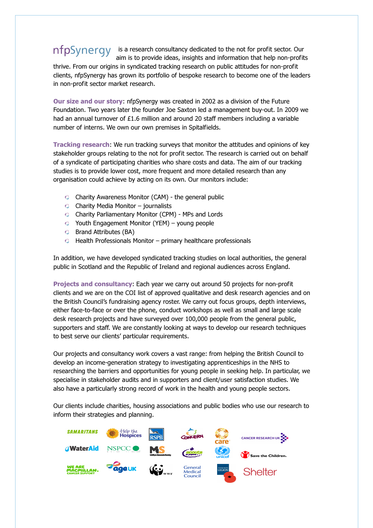### nfpSynergy is a research consultancy dedicated to the not for profit sector. Our aim is to provide ideas, insights and information that help non-profits

thrive. From our origins in syndicated tracking research on public attitudes for non-profit clients, nfpSynergy has grown its portfolio of bespoke research to become one of the leaders in non-profit sector market research.

Our size and our story: nfpSynergy was created in 2002 as a division of the Future Foundation. Two years later the founder Joe Saxton led a management buy-out. In 2009 we had an annual turnover of £1.6 million and around 20 staff members including a variable number of interns. We own our own premises in Spitalfields.

Tracking research: We run tracking surveys that monitor the attitudes and opinions of key stakeholder groups relating to the not for profit sector. The research is carried out on behalf of a syndicate of participating charities who share costs and data. The aim of our tracking studies is to provide lower cost, more frequent and more detailed research than any organisation could achieve by acting on its own. Our monitors include:

- Charity Awareness Monitor (CAM) the general public
- $\circ$  Charity Media Monitor journalists
- Charity Parliamentary Monitor (CPM) MPs and Lords
- Youth Engagement Monitor (YEM) young people
- **C** Brand Attributes (BA)
- $\bullet$  Health Professionals Monitor primary healthcare professionals

In addition, we have developed syndicated tracking studies on local authorities, the general public in Scotland and the Republic of Ireland and regional audiences across England.

Projects and consultancy: Each year we carry out around 50 projects for non-profit clients and we are on the COI list of approved qualitative and desk research agencies and on the British Council's fundraising agency roster. We carry out focus groups, depth interviews, either face-to-face or over the phone, conduct workshops as well as small and large scale desk research projects and have surveyed over 100,000 people from the general public, supporters and staff. We are constantly looking at ways to develop our research techniques to best serve our clients' particular requirements.

Our projects and consultancy work covers a vast range: from helping the British Council to develop an income-generation strategy to investigating apprenticeships in the NHS to researching the barriers and opportunities for young people in seeking help. In particular, we specialise in stakeholder audits and in supporters and client/user satisfaction studies. We also have a particularly strong record of work in the health and young people sectors.

Our clients include charities, housing associations and public bodies who use our research to inform their strategies and planning.

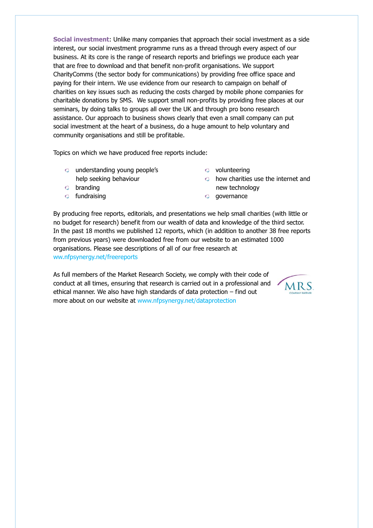Social investment: Unlike many companies that approach their social investment as a side interest, our social investment programme runs as a thread through every aspect of our business. At its core is the range of research reports and briefings we produce each year that are free to download and that benefit non-profit organisations. We support CharityComms (the sector body for communications) by providing free office space and paying for their intern. We use evidence from our research to campaign on behalf of charities on key issues such as reducing the costs charged by mobile phone companies for charitable donations by SMS. We support small non-profits by providing free places at our seminars, by doing talks to groups all over the UK and through pro bono research assistance. Our approach to business shows clearly that even a small company can put social investment at the heart of a business, do a huge amount to help voluntary and community organisations and still be profitable.

Topics on which we have produced free reports include:

- **c** understanding young people's help seeking behaviour
- branding
- fundraising
- volunteering
- how charities use the internet and new technology
- governance

By producing free reports, editorials, and presentations we help small charities (with little or no budget for research) benefit from our wealth of data and knowledge of the third sector. In the past 18 months we published 12 reports, which (in addition to another 38 free reports from previous years) were downloaded free from our website to an estimated 1000 organisations. Please see descriptions of all of our free research at ww.nfpsynergy.net/freereports

As full members of the Market Research Society, we comply with their code of conduct at all times, ensuring that research is carried out in a professional and ethical manner. We also have high standards of data protection – find out more about on our website at www.nfpsynergy.net/dataprotection